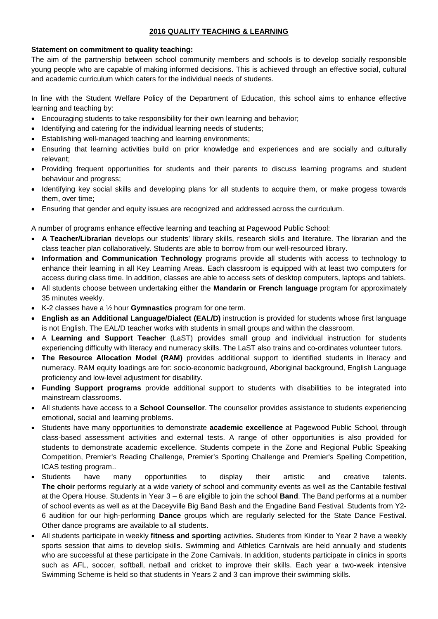## **2016 QUALITY TEACHING & LEARNING**

## **Statement on commitment to quality teaching:**

The aim of the partnership between school community members and schools is to develop socially responsible young people who are capable of making informed decisions. This is achieved through an effective social, cultural and academic curriculum which caters for the individual needs of students.

In line with the Student Welfare Policy of the Department of Education, this school aims to enhance effective learning and teaching by:

- Encouraging students to take responsibility for their own learning and behavior;
- Identifying and catering for the individual learning needs of students;
- Establishing well-managed teaching and learning environments;
- Ensuring that learning activities build on prior knowledge and experiences and are socially and culturally relevant;
- Providing frequent opportunities for students and their parents to discuss learning programs and student behaviour and progress;
- Identifying key social skills and developing plans for all students to acquire them, or make progess towards them, over time;
- Ensuring that gender and equity issues are recognized and addressed across the curriculum.

A number of programs enhance effective learning and teaching at Pagewood Public School:

- **A Teacher/Librarian** develops our students' library skills, research skills and literature. The librarian and the class teacher plan collaboratively. Students are able to borrow from our well-resourced library.
- **Information and Communication Technology** programs provide all students with access to technology to enhance their learning in all Key Learning Areas. Each classroom is equipped with at least two computers for access during class time. In addition, classes are able to access sets of desktop computers, laptops and tablets.
- All students choose between undertaking either the **Mandarin or French language** program for approximately 35 minutes weekly.
- K-2 classes have a ½ hour **Gymnastics** program for one term.
- **English as an Additional Language/Dialect (EAL/D)** instruction is provided for students whose first language is not English. The EAL/D teacher works with students in small groups and within the classroom.
- A **Learning and Support Teacher** (LaST) provides small group and individual instruction for students experiencing difficulty with literacy and numeracy skills. The LaST also trains and co-ordinates volunteer tutors.
- **The Resource Allocation Model (RAM)** provides additional support to identified students in literacy and numeracy. RAM equity loadings are for: socio-economic background, Aboriginal background, English Language proficiency and low-level adjustment for disability.
- **Funding Support programs** provide additional support to students with disabilities to be integrated into mainstream classrooms.
- All students have access to a **School Counsellor**. The counsellor provides assistance to students experiencing emotional, social and learning problems.
- Students have many opportunities to demonstrate **academic excellence** at Pagewood Public School, through class-based assessment activities and external tests. A range of other opportunities is also provided for students to demonstrate academic excellence. Students compete in the Zone and Regional Public Speaking Competition, Premier's Reading Challenge, Premier's Sporting Challenge and Premier's Spelling Competition, ICAS testing program..
- Students have many opportunities to display their artistic and creative talents. **The choir** performs regularly at a wide variety of school and community events as well as the Cantabile festival at the Opera House. Students in Year 3 – 6 are eligible to join the school **Band**. The Band performs at a number of school events as well as at the Daceyville Big Band Bash and the Engadine Band Festival. Students from Y2- 6 audition for our high-performing **Dance** groups which are regularly selected for the State Dance Festival. Other dance programs are available to all students.
- All students participate in weekly **fitness and sporting** activities. Students from Kinder to Year 2 have a weekly sports session that aims to develop skills. Swimming and Athletics Carnivals are held annually and students who are successful at these participate in the Zone Carnivals. In addition, students participate in clinics in sports such as AFL, soccer, softball, netball and cricket to improve their skills. Each year a two-week intensive Swimming Scheme is held so that students in Years 2 and 3 can improve their swimming skills.